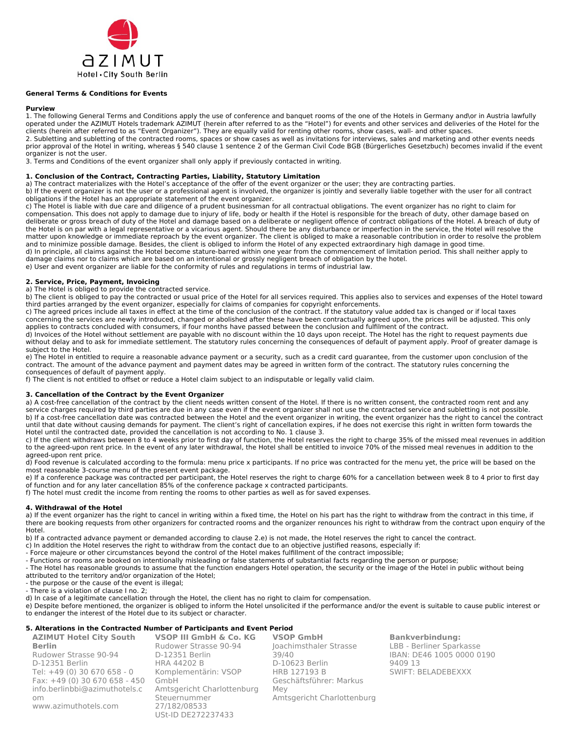

## **General Terms & Conditions for Events**

#### **Purview**

1. The following General Terms and Conditions apply the use of conference and banquet rooms of the one of the Hotels in Germany and\or in Austria lawfully operated under the AZIMUT Hotels trademark AZIMUT (herein after referred to as the "Hotel") for events and other services and deliveries of the Hotel for the clients (herein after referred to as "Event Organizer"). They are equally valid for renting other rooms, show cases, wall- and other spaces. 2. Subletting and subletting of the contracted rooms, spaces or show cases as well as invitations for interviews, sales and marketing and other events needs prior approval of the Hotel in writing, whereas § 540 clause 1 sentence 2 of the German Civil Code BGB (Bürgerliches Gesetzbuch) becomes invalid if the event organizer is not the user.

3. Terms and Conditions of the event organizer shall only apply if previously contacted in writing.

## **1. Conclusion of the Contract, Contracting Parties, Liability, Statutory Limitation**

a) The contract materializes with the Hotel's acceptance of the offer of the event organizer or the user; they are contracting parties.

b) If the event organizer is not the user or a professional agent is involved, the organizer is jointly and severally liable together with the user for all contract obligations if the Hotel has an appropriate statement of the event organizer.

c) The Hotel is liable with due care and diligence of a prudent businessman for all contractual obligations. The event organizer has no right to claim for compensation. This does not apply to damage due to injury of life, body or health if the Hotel is responsible for the breach of duty, other damage based on deliberate or gross breach of duty of the Hotel and damage based on a deliberate or negligent offence of contract obligations of the Hotel. A breach of duty of the Hotel is on par with a legal representative or a vicarious agent. Should there be any disturbance or imperfection in the service, the Hotel will resolve the matter upon knowledge or immediate reproach by the event organizer. The client is obliged to make a reasonable contribution in order to resolve the problem and to minimize possible damage. Besides, the client is obliged to inform the Hotel of any expected extraordinary high damage in good time. d) In principle, all claims against the Hotel become stature-barred within one year from the commencement of limitation period. This shall neither apply to damage claims nor to claims which are based on an intentional or grossly negligent breach of obligation by the hotel. e) User and event organizer are liable for the conformity of rules and regulations in terms of industrial law.

### **2. Service, Price, Payment, Invoicing**

a) The Hotel is obliged to provide the contracted service.

b) The client is obliged to pay the contracted or usual price of the Hotel for all services required. This applies also to services and expenses of the Hotel toward third parties arranged by the event organizer, especially for claims of companies for copyright enforcements.

c) The agreed prices include all taxes in effect at the time of the conclusion of the contract. If the statutory value added tax is changed or if local taxes concerning the services are newly introduced, changed or abolished after these have been contractually agreed upon, the prices will be adjusted. This only applies to contracts concluded with consumers, if four months have passed between the conclusion and fulfilment of the contract.

d) Invoices of the Hotel without settlement are payable with no discount within the 10 days upon receipt. The Hotel has the right to request payments due without delay and to ask for immediate settlement. The statutory rules concerning the consequences of default of payment apply. Proof of greater damage is subject to the Hotel.

e) The Hotel in entitled to require a reasonable advance payment or a security, such as a credit card guarantee, from the customer upon conclusion of the contract. The amount of the advance payment and payment dates may be agreed in written form of the contract. The statutory rules concerning the consequences of default of payment apply.

f) The client is not entitled to offset or reduce a Hotel claim subject to an indisputable or legally valid claim.

### **3. Cancellation of the Contract by the Event Organizer**

a) A cost-free cancellation of the contract by the client needs written consent of the Hotel. If there is no written consent, the contracted room rent and any service charges required by third parties are due in any case even if the event organizer shall not use the contracted service and subletting is not possible. b) If a cost-free cancellation date was contracted between the Hotel and the event organizer in writing, the event organizer has the right to cancel the contract until that date without causing demands for payment. The client's right of cancellation expires, if he does not exercise this right in written form towards the Hotel until the contracted date, provided the cancellation is not according to No. 1 clause 3.

c) If the client withdraws between 8 to 4 weeks prior to first day of function, the Hotel reserves the right to charge 35% of the missed meal revenues in addition to the agreed-upon rent price. In the event of any later withdrawal, the Hotel shall be entitled to invoice 70% of the missed meal revenues in addition to the agreed-upon rent price.

d) Food revenue is calculated according to the formula: menu price x participants. If no price was contracted for the menu yet, the price will be based on the most reasonable 3-course menu of the present event package.

e) If a conference package was contracted per participant, the Hotel reserves the right to charge 60% for a cancellation between week 8 to 4 prior to first day of function and for any later cancellation 85% of the conference package x contracted participants.

f) The hotel must credit the income from renting the rooms to other parties as well as for saved expenses.

#### **4. Withdrawal of the Hotel**

a) If the event organizer has the right to cancel in writing within a fixed time, the Hotel on his part has the right to withdraw from the contract in this time, if there are booking requests from other organizers for contracted rooms and the organizer renounces his right to withdraw from the contract upon enquiry of the Hotel.

b) If a contracted advance payment or demanded according to clause 2.e) is not made, the Hotel reserves the right to cancel the contract.

- c) In addition the Hotel reserves the right to withdraw from the contact due to an objective justified reasons, especially if:
- Force majeure or other circumstances beyond the control of the Hotel makes fulfillment of the contract impossible;
- Functions or rooms are booked on intentionally misleading or false statements of substantial facts regarding the person or purpose;

- The Hotel has reasonable grounds to assume that the function endangers Hotel operation, the security or the image of the Hotel in public without being attributed to the territory and/or organization of the Hotel;

- the purpose or the cause of the event is illegal;

- There is a violation of clause I no. 2;

d) In case of a legitimate cancellation through the Hotel, the client has no right to claim for compensation.

e) Despite before mentioned, the organizer is obliged to inform the Hotel unsolicited if the performance and/or the event is suitable to cause public interest or to endanger the interest of the Hotel due to its subject or character.

# **5. Alterations in the Contracted Number of Participants and Event Period**

**AZIMUT Hotel City South Berlin**  Rudower Strasse 90-94 D-12351 Berlin Tel: +49 (0) 30 670 658 - 0 Fax: +49 (0) 30 670 658 - 450 [info.berlinbbi@azimuthotels.c](mailto:info.berlinbbi@azimuthotels.com) [om](mailto:info.berlinbbi@azimuthotels.com) [www.azimuthotels.com](http://www.azimuthotels.com/) **VSOP III GmbH & Co. KG** Rudower Strasse 90-94 D-12351 Berlin HRA 44202 B Komplementärin: VSOP GmbH Amtsgericht Charlottenburg Steuernummer 27/182/08533 USt-ID DE272237433 **VSOP GmbH** Joachimsthaler Strasse 39/40 D-10623 Berlin HRB 127193 B Geschäftsführer: Markus Mey Amtsgericht Charlottenburg

**Bankverbindung:** LBB - Berliner Sparkasse IBAN: DE46 1005 0000 0190 9409 13 SWIFT: BELADEBEXXX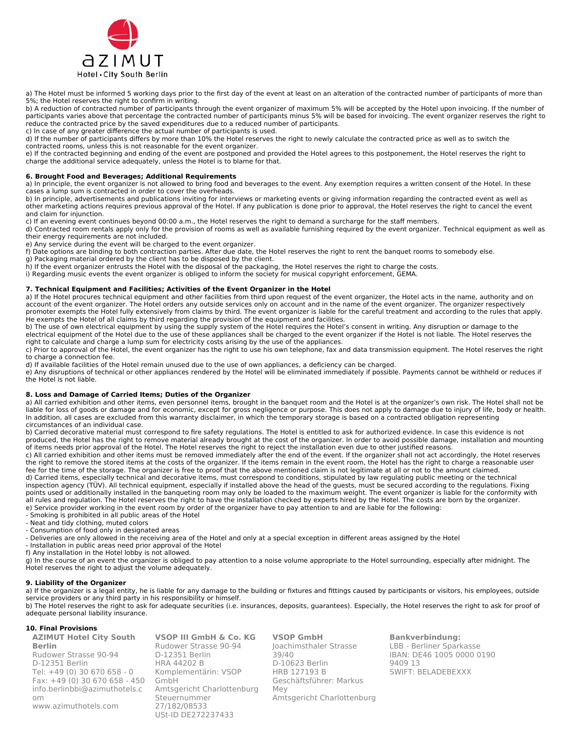

a) The Hotel must be informed 5 working days prior to the first day of the event at least on an alteration of the contracted number of participants of more than 5%; the Hotel reserves the right to confirm in writing.

b) A reduction of contracted number of participants through the event organizer of maximum 5% will be accepted by the Hotel upon invoicing. If the number of participants varies above that percentage the contracted number of participants minus 5% will be based for invoicing. The event organizer reserves the right to reduce the contracted price by the saved expenditures due to a reduced number of participants.

c) In case of any greater difference the actual number of participants is used. d) If the number of participants differs by more than 10% the Hotel reserves the right to newly calculate the contracted price as well as to switch the

contracted rooms, unless this is not reasonable for the event organizer.

e) If the contracted beginning and ending of the event are postponed and provided the Hotel agrees to this postponement, the Hotel reserves the right to charge the additional service adequately, unless the Hotel is to blame for that.

# **6. Brought Food and Beverages; Additional Requirements**

a) In principle, the event organizer is not allowed to bring food and beverages to the event. Any exemption requires a written consent of the Hotel. In these cases a lump sum is contracted in order to cover the overheads.

b) In principle, advertisements and publications inviting for interviews or marketing events or giving information regarding the contracted event as well as other marketing actions requires previous approval of the Hotel. If any publication is done prior to approval, the Hotel reserves the right to cancel the event and claim for injunction.

c) If an evening event continues beyond 00:00 a.m., the Hotel reserves the right to demand a surcharge for the staff members.

d) Contracted room rentals apply only for the provision of rooms as well as available furnishing required by the event organizer. Technical equipment as well as their energy requirements are not included.

e) Any service during the event will be charged to the event organizer.

f) Date options are binding to both contraction parties. After due date, the Hotel reserves the right to rent the banquet rooms to somebody else.

g) Packaging material ordered by the client has to be disposed by the client.

h) If the event organizer entrusts the Hotel with the disposal of the packaging, the Hotel reserves the right to charge the costs.

i) Regarding music events the event organizer is obliged to inform the society for musical copyright enforcement, GEMA.

## **7. Technical Equipment and Facilities; Activities of the Event Organizer in the Hotel**

a) If the Hotel procures technical equipment and other facilities from third upon request of the event organizer, the Hotel acts in the name, authority and on account of the event organizer. The Hotel orders any outside services only on account and in the name of the event organizer. The organizer respectively promoter exempts the Hotel fully extensively from claims by third. The event organizer is liable for the careful treatment and according to the rules that apply. He exempts the Hotel of all claims by third regarding the provision of the equipment and facilities.

b) The use of own electrical equipment by using the supply system of the Hotel requires the Hotel's consent in writing. Any disruption or damage to the electrical equipment of the Hotel due to the use of these appliances shall be charged to the event organizer if the Hotel is not liable. The Hotel reserves the right to calculate and charge a lump sum for electricity costs arising by the use of the appliances.

c) Prior to approval of the Hotel, the event organizer has the right to use his own telephone, fax and data transmission equipment. The Hotel reserves the right to charge a connection fee.

d) If available facilities of the Hotel remain unused due to the use of own appliances, a deficiency can be charged.

e) Any disruptions of technical or other appliances rendered by the Hotel will be eliminated immediately if possible. Payments cannot be withheld or reduces if the Hotel is not liable.

### **8. Loss and Damage of Carried Items; Duties of the Organizer**

a) All carried exhibition and other items, even personnel items, brought in the banquet room and the Hotel is at the organizer's own risk. The Hotel shall not be liable for loss of goods or damage and for economic, except for gross negligence or purpose. This does not apply to damage due to injury of life, body or health. In addition, all cases are excluded from this warranty disclaimer, in which the temporary storage is based on a contracted obligation representing circumstances of an individual case.

b) Carried decorative material must correspond to fire safety regulations. The Hotel is entitled to ask for authorized evidence. In case this evidence is not produced, the Hotel has the right to remove material already brought at the cost of the organizer. In order to avoid possible damage, installation and mounting of items needs prior approval of the Hotel. The Hotel reserves the right to reject the installation even due to other justified reasons.

c) All carried exhibition and other items must be removed immediately after the end of the event. If the organizer shall not act accordingly, the Hotel reserves the right to remove the stored items at the costs of the organizer. If the items remain in the event room, the Hotel has the right to charge a reasonable user fee for the time of the storage. The organizer is free to proof that the above mentioned claim is not legitimate at all or not to the amount claimed.

d) Carried items, especially technical and decorative items, must correspond to conditions, stipulated by law regulating public meeting or the technical inspection agency (TÜV). All technical equipment, especially if installed above the head of the guests, must be secured according to the regulations. Fixing points used or additionally installed in the banqueting room may only be loaded to the maximum weight. The event organizer is liable for the conformity with all rules and regulation. The Hotel reserves the right to have the installation checked by experts hired by the Hotel. The costs are born by the organizer. e) Service provider working in the event room by order of the organizer have to pay attention to and are liable for the following:

- Smoking is prohibited in all public areas of the Hotel

- Neat and tidy clothing, muted colors

- Consumption of food only in designated areas

- Deliveries are only allowed in the receiving area of the Hotel and only at a special exception in different areas assigned by the Hotel

- Installation in public areas need prior approval of the Hotel

f) Any installation in the Hotel lobby is not allowed.

g) In the course of an event the organizer is obliged to pay attention to a noise volume appropriate to the Hotel surrounding, especially after midnight. The Hotel reserves the right to adjust the volume adequately.

# **9. Liability of the Organizer**

a) If the organizer is a legal entity, he is liable for any damage to the building or fixtures and fittings caused by participants or visitors, his employees, outside service providers or any third party in his responsibility or himself.

b) The Hotel reserves the right to ask for adequate securities (i.e. insurances, deposits, guarantees). Especially, the Hotel reserves the right to ask for proof of adequate personal liability insurance.

# **10. Final Provisions**

| <b>AZIMUT Hotel City South</b> | VSOP III GmbH & Co. KG     | <b>VSOP GmbH</b>           | <b>Bankverbindung:</b>    |
|--------------------------------|----------------------------|----------------------------|---------------------------|
| <b>Berlin</b>                  | Rudower Strasse 90-94      | Joachimsthaler Strasse     | LBB - Berliner Sparkasse  |
| Rudower Strasse 90-94          | D-12351 Berlin             | 39/40                      | IBAN: DE46 1005 0000 0190 |
| D-12351 Berlin                 | <b>HRA 44202 B</b>         | D-10623 Berlin             | 9409 13                   |
| Tel: +49 (0) 30 670 658 - 0    | Komplementärin: VSOP       | HRB 127193 B               | SWIFT: BELADEBEXXX        |
| Fax: $+49(0)30670658 - 450$    | GmbH                       | Geschäftsführer: Markus    |                           |
| info.berlinbbi@azimuthotels.c  | Amtsgericht Charlottenburg | Mev                        |                           |
| 0 <sub>m</sub>                 | Steuernummer               | Amtsgericht Charlottenburg |                           |
| www.azimuthotels.com           | 27/182/08533               |                            |                           |
|                                | USt-ID DE272237433         |                            |                           |